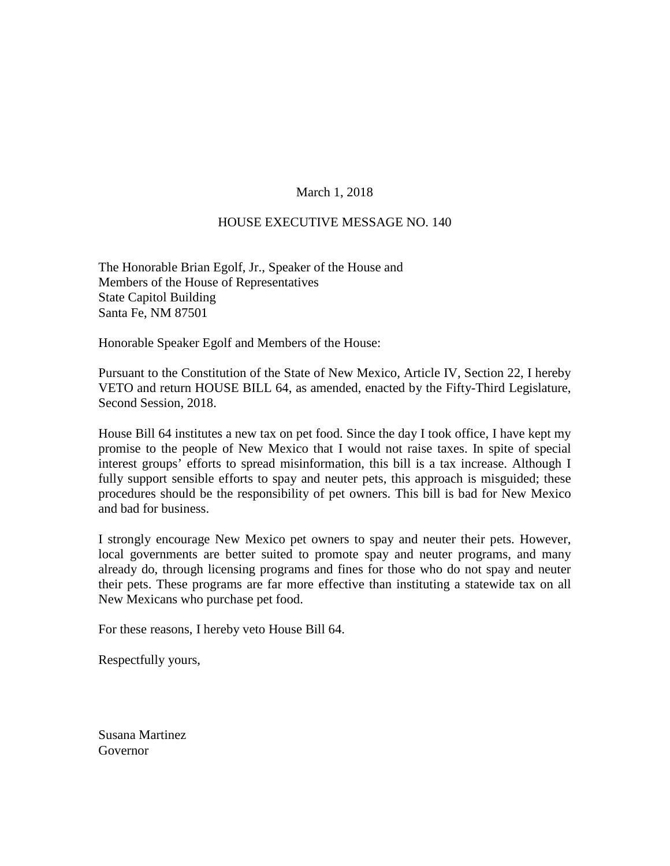## March 1, 2018

## HOUSE EXECUTIVE MESSAGE NO. 140

The Honorable Brian Egolf, Jr., Speaker of the House and Members of the House of Representatives State Capitol Building Santa Fe, NM 87501

Honorable Speaker Egolf and Members of the House:

Pursuant to the Constitution of the State of New Mexico, Article IV, Section 22, I hereby VETO and return HOUSE BILL 64, as amended, enacted by the Fifty-Third Legislature, Second Session, 2018.

House Bill 64 institutes a new tax on pet food. Since the day I took office, I have kept my promise to the people of New Mexico that I would not raise taxes. In spite of special interest groups' efforts to spread misinformation, this bill is a tax increase. Although I fully support sensible efforts to spay and neuter pets, this approach is misguided; these procedures should be the responsibility of pet owners. This bill is bad for New Mexico and bad for business.

I strongly encourage New Mexico pet owners to spay and neuter their pets. However, local governments are better suited to promote spay and neuter programs, and many already do, through licensing programs and fines for those who do not spay and neuter their pets. These programs are far more effective than instituting a statewide tax on all New Mexicans who purchase pet food.

For these reasons, I hereby veto House Bill 64.

Respectfully yours,

Susana Martinez Governor